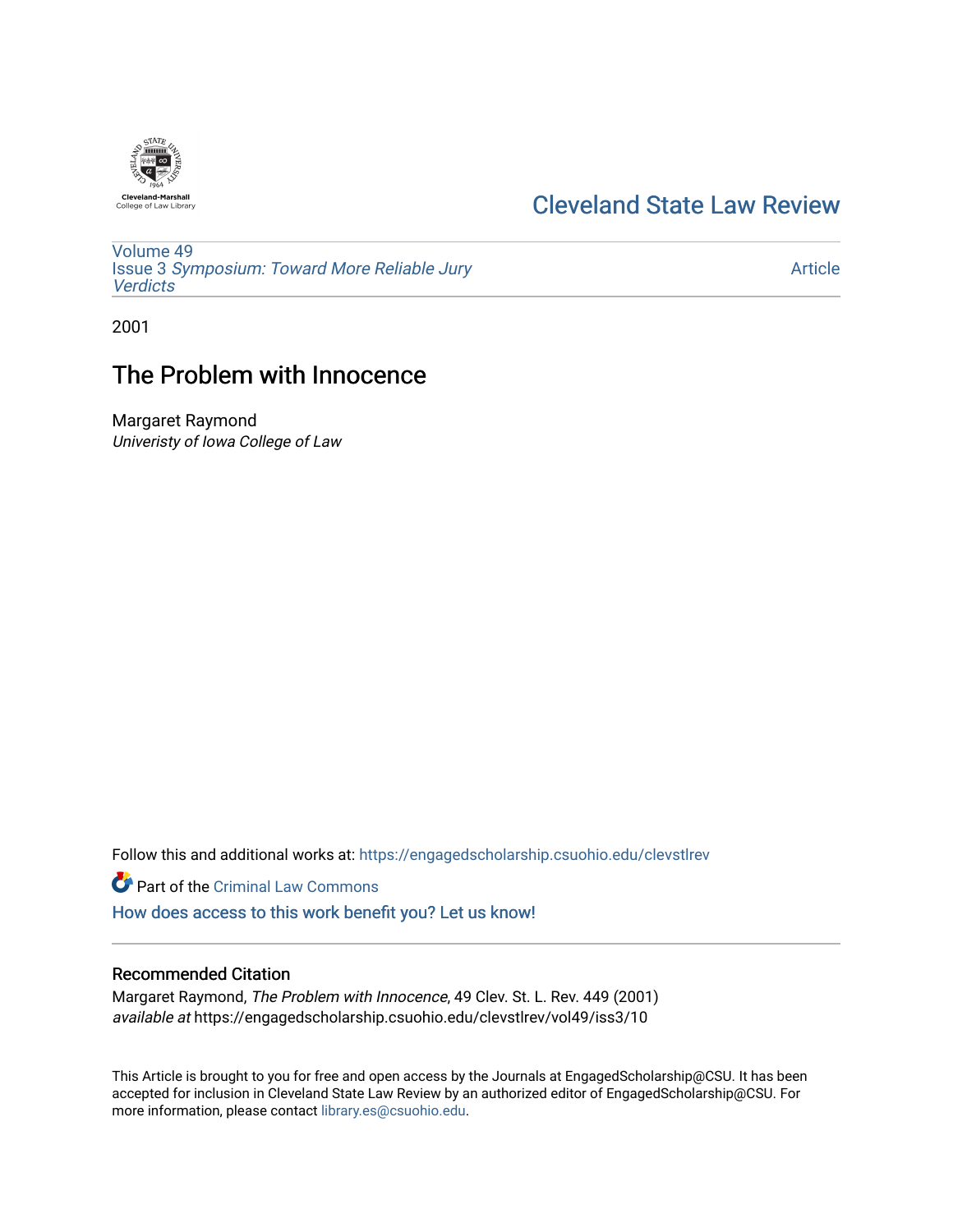

## [Cleveland State Law Review](https://engagedscholarship.csuohio.edu/clevstlrev)

[Volume 49](https://engagedscholarship.csuohio.edu/clevstlrev/vol49) Issue 3 [Symposium: Toward More Reliable Jury](https://engagedscholarship.csuohio.edu/clevstlrev/vol49/iss3)  **[Verdicts](https://engagedscholarship.csuohio.edu/clevstlrev/vol49/iss3)** 

[Article](https://engagedscholarship.csuohio.edu/clevstlrev/vol49/iss3/10) 

2001

# The Problem with Innocence

Margaret Raymond Univeristy of Iowa College of Law

Follow this and additional works at: [https://engagedscholarship.csuohio.edu/clevstlrev](https://engagedscholarship.csuohio.edu/clevstlrev?utm_source=engagedscholarship.csuohio.edu%2Fclevstlrev%2Fvol49%2Fiss3%2F10&utm_medium=PDF&utm_campaign=PDFCoverPages)

Part of the [Criminal Law Commons](http://network.bepress.com/hgg/discipline/912?utm_source=engagedscholarship.csuohio.edu%2Fclevstlrev%2Fvol49%2Fiss3%2F10&utm_medium=PDF&utm_campaign=PDFCoverPages) 

[How does access to this work benefit you? Let us know!](http://library.csuohio.edu/engaged/)

### Recommended Citation

Margaret Raymond, The Problem with Innocence, 49 Clev. St. L. Rev. 449 (2001) available at https://engagedscholarship.csuohio.edu/clevstlrev/vol49/iss3/10

This Article is brought to you for free and open access by the Journals at EngagedScholarship@CSU. It has been accepted for inclusion in Cleveland State Law Review by an authorized editor of EngagedScholarship@CSU. For more information, please contact [library.es@csuohio.edu](mailto:library.es@csuohio.edu).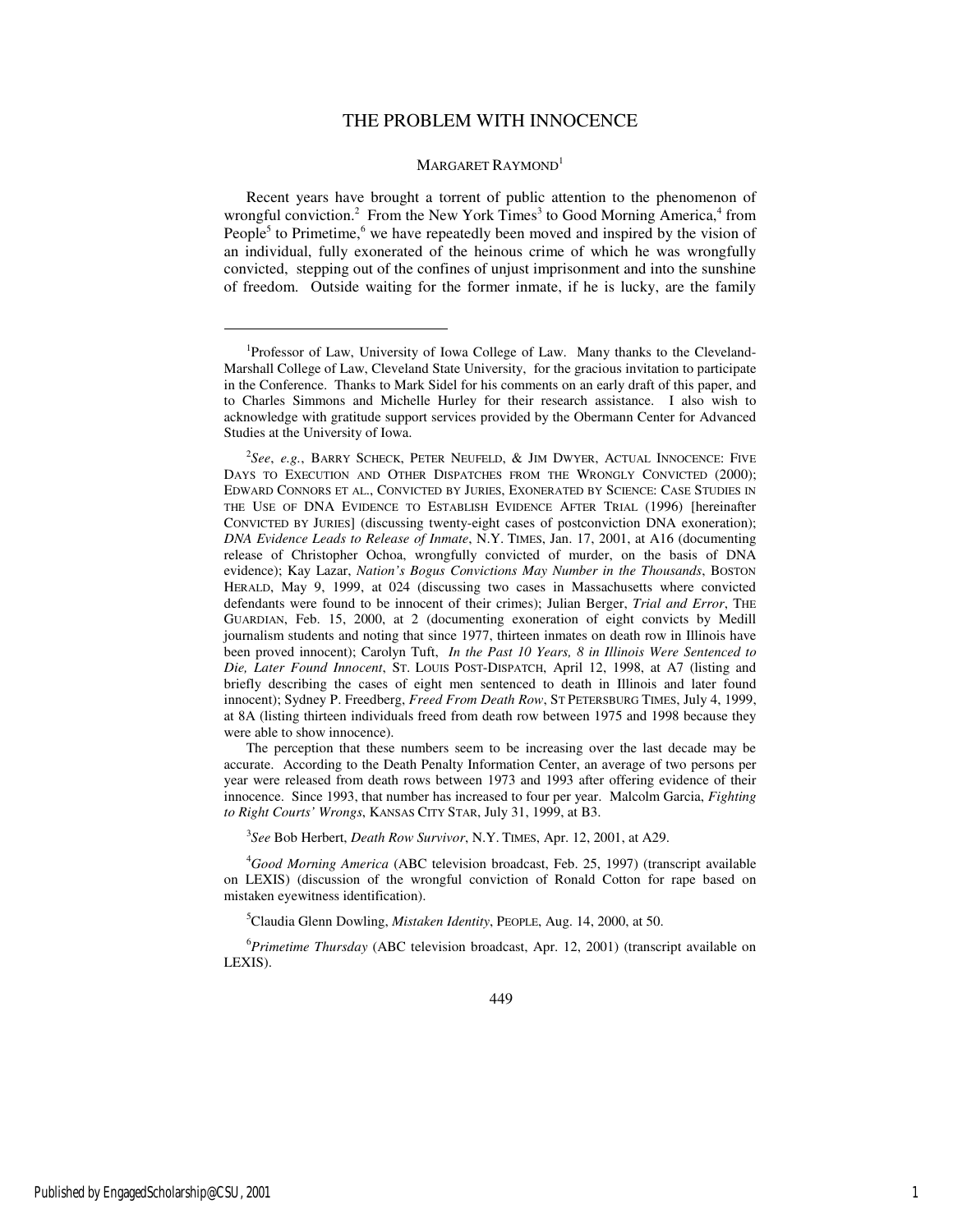### THE PROBLEM WITH INNOCENCE

#### MARGARET RAYMOND<sup>1</sup>

Recent years have brought a torrent of public attention to the phenomenon of wrongful conviction.<sup>2</sup> From the New York Times<sup>3</sup> to Good Morning America,<sup>4</sup> from People<sup>5</sup> to Primetime,  $6$  we have repeatedly been moved and inspired by the vision of an individual, fully exonerated of the heinous crime of which he was wrongfully convicted, stepping out of the confines of unjust imprisonment and into the sunshine of freedom. Outside waiting for the former inmate, if he is lucky, are the family

3 *See* Bob Herbert, *Death Row Survivor*, N.Y. TIMES, Apr. 12, 2001, at A29.

<sup>4</sup>*Good Morning America* (ABC television broadcast, Feb. 25, 1997) (transcript available on LEXIS) (discussion of the wrongful conviction of Ronald Cotton for rape based on mistaken eyewitness identification).

<sup>5</sup>Claudia Glenn Dowling, *Mistaken Identity*, PEOPLE, Aug. 14, 2000, at 50.

<sup>6</sup>*Primetime Thursday* (ABC television broadcast, Apr. 12, 2001) (transcript available on LEXIS).

<sup>&</sup>lt;sup>1</sup>Professor of Law, University of Iowa College of Law. Many thanks to the Cleveland-Marshall College of Law, Cleveland State University, for the gracious invitation to participate in the Conference. Thanks to Mark Sidel for his comments on an early draft of this paper, and to Charles Simmons and Michelle Hurley for their research assistance. I also wish to acknowledge with gratitude support services provided by the Obermann Center for Advanced Studies at the University of Iowa.

<sup>2</sup> *See*, *e.g.*, BARRY SCHECK, PETER NEUFELD, & JIM DWYER, ACTUAL INNOCENCE: FIVE DAYS TO EXECUTION AND OTHER DISPATCHES FROM THE WRONGLY CONVICTED (2000); EDWARD CONNORS ET AL., CONVICTED BY JURIES, EXONERATED BY SCIENCE: CASE STUDIES IN THE USE OF DNA EVIDENCE TO ESTABLISH EVIDENCE AFTER TRIAL (1996) [hereinafter CONVICTED BY JURIES] (discussing twenty-eight cases of postconviction DNA exoneration); *DNA Evidence Leads to Release of Inmate*, N.Y. TIMES, Jan. 17, 2001, at A16 (documenting release of Christopher Ochoa, wrongfully convicted of murder, on the basis of DNA evidence); Kay Lazar, *Nation's Bogus Convictions May Number in the Thousands*, BOSTON HERALD, May 9, 1999, at 024 (discussing two cases in Massachusetts where convicted defendants were found to be innocent of their crimes); Julian Berger, *Trial and Error*, THE GUARDIAN, Feb. 15, 2000, at 2 (documenting exoneration of eight convicts by Medill journalism students and noting that since 1977, thirteen inmates on death row in Illinois have been proved innocent); Carolyn Tuft, *In the Past 10 Years, 8 in Illinois Were Sentenced to Die, Later Found Innocent*, ST. LOUIS POST-DISPATCH, April 12, 1998, at A7 (listing and briefly describing the cases of eight men sentenced to death in Illinois and later found innocent); Sydney P. Freedberg, *Freed From Death Row*, ST PETERSBURG TIMES, July 4, 1999, at 8A (listing thirteen individuals freed from death row between 1975 and 1998 because they were able to show innocence).

The perception that these numbers seem to be increasing over the last decade may be accurate. According to the Death Penalty Information Center, an average of two persons per year were released from death rows between 1973 and 1993 after offering evidence of their innocence. Since 1993, that number has increased to four per year. Malcolm Garcia, *Fighting to Right Courts' Wrongs*, KANSAS CITY STAR, July 31, 1999, at B3.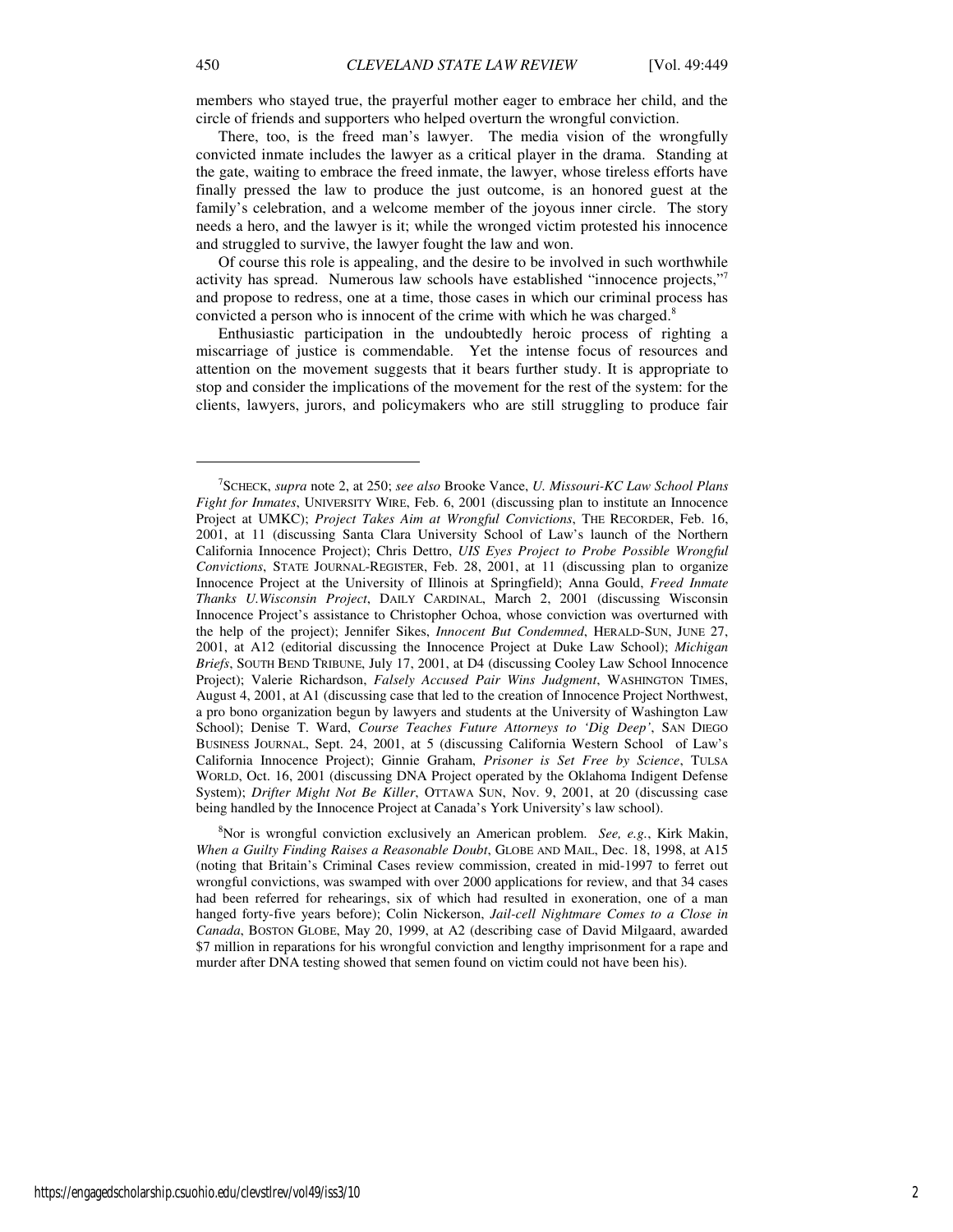members who stayed true, the prayerful mother eager to embrace her child, and the circle of friends and supporters who helped overturn the wrongful conviction.

There, too, is the freed man's lawyer. The media vision of the wrongfully convicted inmate includes the lawyer as a critical player in the drama. Standing at the gate, waiting to embrace the freed inmate, the lawyer, whose tireless efforts have finally pressed the law to produce the just outcome, is an honored guest at the family's celebration, and a welcome member of the joyous inner circle. The story needs a hero, and the lawyer is it; while the wronged victim protested his innocence and struggled to survive, the lawyer fought the law and won.

Of course this role is appealing, and the desire to be involved in such worthwhile activity has spread. Numerous law schools have established "innocence projects,"<sup>7</sup> and propose to redress, one at a time, those cases in which our criminal process has convicted a person who is innocent of the crime with which he was charged.<sup>8</sup>

Enthusiastic participation in the undoubtedly heroic process of righting a miscarriage of justice is commendable. Yet the intense focus of resources and attention on the movement suggests that it bears further study. It is appropriate to stop and consider the implications of the movement for the rest of the system: for the clients, lawyers, jurors, and policymakers who are still struggling to produce fair

<sup>8</sup>Nor is wrongful conviction exclusively an American problem. *See, e.g.*, Kirk Makin, *When a Guilty Finding Raises a Reasonable Doubt*, GLOBE AND MAIL, Dec. 18, 1998, at A15 (noting that Britain's Criminal Cases review commission, created in mid-1997 to ferret out wrongful convictions, was swamped with over 2000 applications for review, and that 34 cases had been referred for rehearings, six of which had resulted in exoneration, one of a man hanged forty-five years before); Colin Nickerson, *Jail-cell Nightmare Comes to a Close in Canada*, BOSTON GLOBE, May 20, 1999, at A2 (describing case of David Milgaard, awarded \$7 million in reparations for his wrongful conviction and lengthy imprisonment for a rape and murder after DNA testing showed that semen found on victim could not have been his).

<sup>7</sup> SCHECK, *supra* note 2, at 250; *see also* Brooke Vance, *U. Missouri-KC Law School Plans Fight for Inmates*, UNIVERSITY WIRE, Feb. 6, 2001 (discussing plan to institute an Innocence Project at UMKC); *Project Takes Aim at Wrongful Convictions*, THE RECORDER, Feb. 16, 2001, at 11 (discussing Santa Clara University School of Law's launch of the Northern California Innocence Project); Chris Dettro, *UIS Eyes Project to Probe Possible Wrongful Convictions*, STATE JOURNAL-REGISTER, Feb. 28, 2001, at 11 (discussing plan to organize Innocence Project at the University of Illinois at Springfield); Anna Gould, *Freed Inmate Thanks U.Wisconsin Project*, DAILY CARDINAL, March 2, 2001 (discussing Wisconsin Innocence Project's assistance to Christopher Ochoa, whose conviction was overturned with the help of the project); Jennifer Sikes, *Innocent But Condemned*, HERALD-SUN, JUNE 27, 2001, at A12 (editorial discussing the Innocence Project at Duke Law School); *Michigan Briefs*, SOUTH BEND TRIBUNE, July 17, 2001, at D4 (discussing Cooley Law School Innocence Project); Valerie Richardson, *Falsely Accused Pair Wins Judgment*, WASHINGTON TIMES, August 4, 2001, at A1 (discussing case that led to the creation of Innocence Project Northwest, a pro bono organization begun by lawyers and students at the University of Washington Law School); Denise T. Ward, *Course Teaches Future Attorneys to 'Dig Deep'*, SAN DIEGO BUSINESS JOURNAL, Sept. 24, 2001, at 5 (discussing California Western School of Law's California Innocence Project); Ginnie Graham, *Prisoner is Set Free by Science*, TULSA WORLD, Oct. 16, 2001 (discussing DNA Project operated by the Oklahoma Indigent Defense System); *Drifter Might Not Be Killer*, OTTAWA SUN, Nov. 9, 2001, at 20 (discussing case being handled by the Innocence Project at Canada's York University's law school).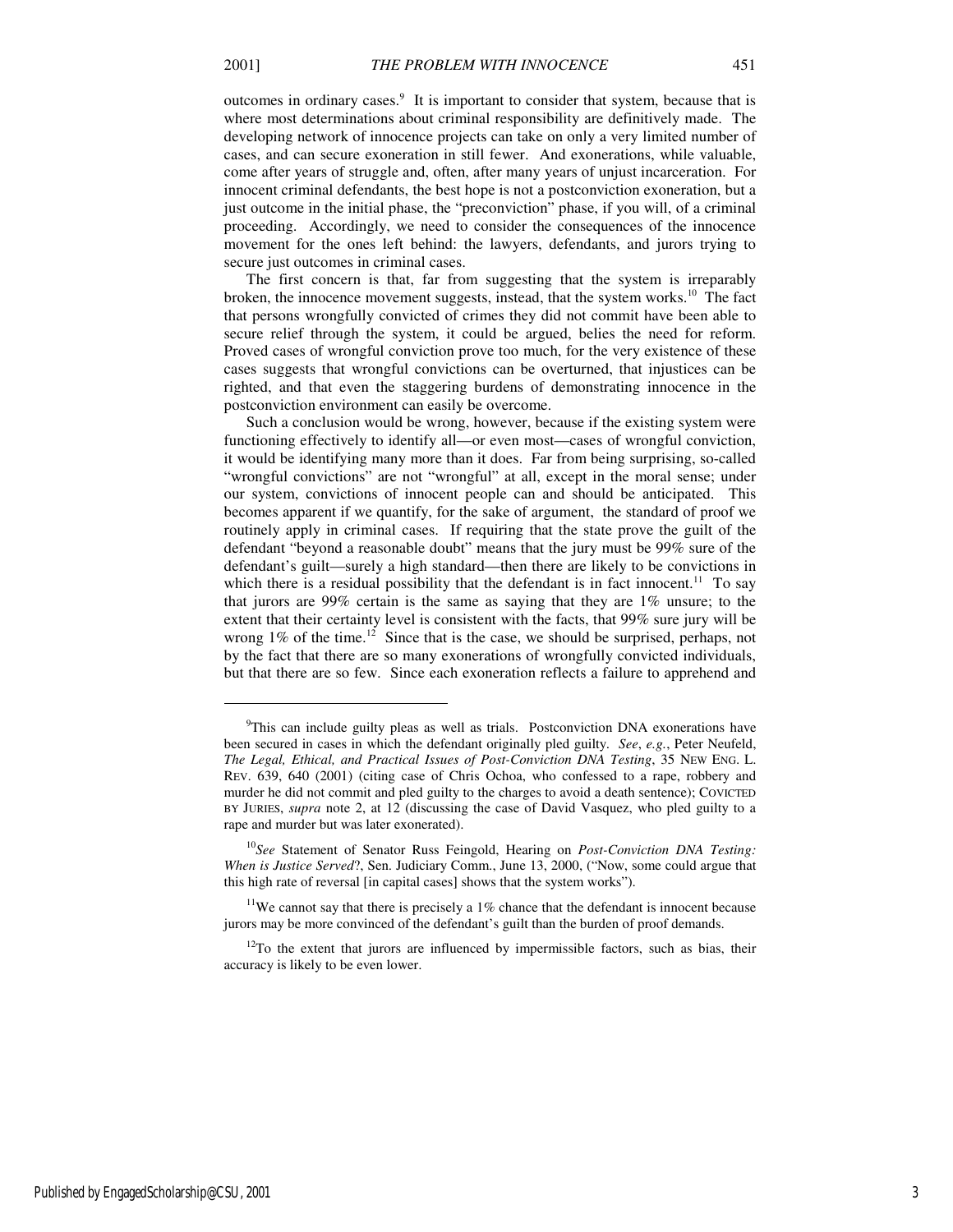1

outcomes in ordinary cases.<sup>9</sup> It is important to consider that system, because that is where most determinations about criminal responsibility are definitively made. The developing network of innocence projects can take on only a very limited number of cases, and can secure exoneration in still fewer. And exonerations, while valuable, come after years of struggle and, often, after many years of unjust incarceration. For innocent criminal defendants, the best hope is not a postconviction exoneration, but a just outcome in the initial phase, the "preconviction" phase, if you will, of a criminal proceeding. Accordingly, we need to consider the consequences of the innocence movement for the ones left behind: the lawyers, defendants, and jurors trying to secure just outcomes in criminal cases.

The first concern is that, far from suggesting that the system is irreparably broken, the innocence movement suggests, instead, that the system works.<sup>10</sup> The fact that persons wrongfully convicted of crimes they did not commit have been able to secure relief through the system, it could be argued, belies the need for reform. Proved cases of wrongful conviction prove too much, for the very existence of these cases suggests that wrongful convictions can be overturned, that injustices can be righted, and that even the staggering burdens of demonstrating innocence in the postconviction environment can easily be overcome.

Such a conclusion would be wrong, however, because if the existing system were functioning effectively to identify all—or even most—cases of wrongful conviction, it would be identifying many more than it does. Far from being surprising, so-called "wrongful convictions" are not "wrongful" at all, except in the moral sense; under our system, convictions of innocent people can and should be anticipated. This becomes apparent if we quantify, for the sake of argument, the standard of proof we routinely apply in criminal cases. If requiring that the state prove the guilt of the defendant "beyond a reasonable doubt" means that the jury must be 99% sure of the defendant's guilt—surely a high standard—then there are likely to be convictions in which there is a residual possibility that the defendant is in fact innocent.<sup>11</sup> To say that jurors are 99% certain is the same as saying that they are 1% unsure; to the extent that their certainty level is consistent with the facts, that 99% sure jury will be wrong  $1\%$  of the time.<sup>12</sup> Since that is the case, we should be surprised, perhaps, not by the fact that there are so many exonerations of wrongfully convicted individuals, but that there are so few. Since each exoneration reflects a failure to apprehend and

<sup>&</sup>lt;sup>9</sup>This can include guilty pleas as well as trials. Postconviction DNA exonerations have been secured in cases in which the defendant originally pled guilty. *See*, *e.g.*, Peter Neufeld, *The Legal, Ethical, and Practical Issues of Post-Conviction DNA Testing*, 35 NEW ENG. L. REV. 639, 640 (2001) (citing case of Chris Ochoa, who confessed to a rape, robbery and murder he did not commit and pled guilty to the charges to avoid a death sentence); COVICTED BY JURIES, *supra* note 2, at 12 (discussing the case of David Vasquez, who pled guilty to a rape and murder but was later exonerated).

<sup>10</sup>*See* Statement of Senator Russ Feingold, Hearing on *Post-Conviction DNA Testing: When is Justice Served*?, Sen. Judiciary Comm., June 13, 2000, ("Now, some could argue that this high rate of reversal [in capital cases] shows that the system works").

<sup>&</sup>lt;sup>11</sup>We cannot say that there is precisely a  $1\%$  chance that the defendant is innocent because jurors may be more convinced of the defendant's guilt than the burden of proof demands.

 $12$ To the extent that jurors are influenced by impermissible factors, such as bias, their accuracy is likely to be even lower.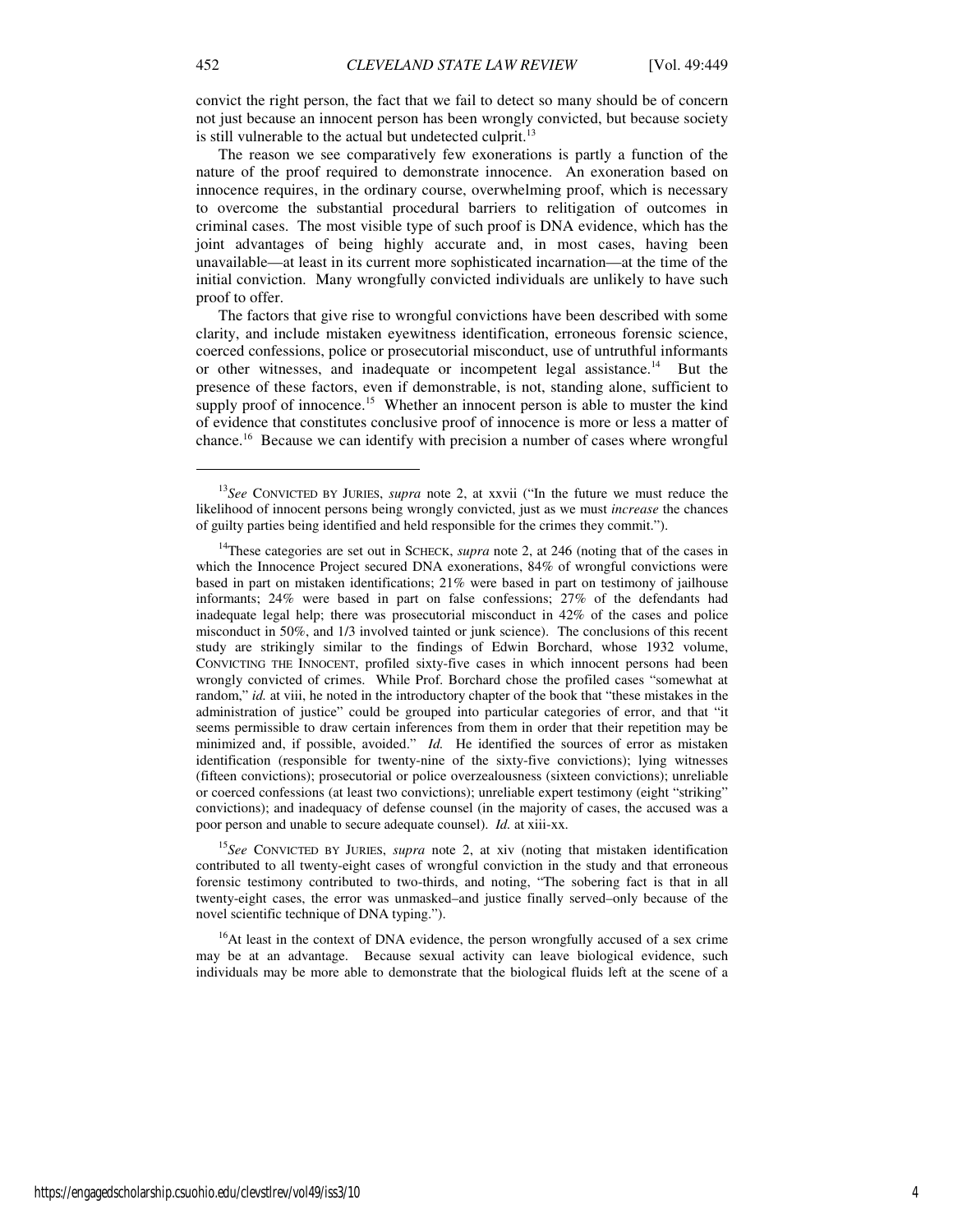convict the right person, the fact that we fail to detect so many should be of concern not just because an innocent person has been wrongly convicted, but because society is still vulnerable to the actual but undetected culprit.<sup>13</sup>

The reason we see comparatively few exonerations is partly a function of the nature of the proof required to demonstrate innocence. An exoneration based on innocence requires, in the ordinary course, overwhelming proof, which is necessary to overcome the substantial procedural barriers to relitigation of outcomes in criminal cases. The most visible type of such proof is DNA evidence, which has the joint advantages of being highly accurate and, in most cases, having been unavailable—at least in its current more sophisticated incarnation—at the time of the initial conviction. Many wrongfully convicted individuals are unlikely to have such proof to offer.

The factors that give rise to wrongful convictions have been described with some clarity, and include mistaken eyewitness identification, erroneous forensic science, coerced confessions, police or prosecutorial misconduct, use of untruthful informants or other witnesses, and inadequate or incompetent legal assistance.<sup>14</sup> But the presence of these factors, even if demonstrable, is not, standing alone, sufficient to supply proof of innocence.<sup>15</sup> Whether an innocent person is able to muster the kind of evidence that constitutes conclusive proof of innocence is more or less a matter of chance.<sup>16</sup> Because we can identify with precision a number of cases where wrongful

<sup>15</sup>*See* CONVICTED BY JURIES, *supra* note 2, at xiv (noting that mistaken identification contributed to all twenty-eight cases of wrongful conviction in the study and that erroneous forensic testimony contributed to two-thirds, and noting, "The sobering fact is that in all twenty-eight cases, the error was unmasked–and justice finally served–only because of the novel scientific technique of DNA typing.").

 $16$ At least in the context of DNA evidence, the person wrongfully accused of a sex crime may be at an advantage. Because sexual activity can leave biological evidence, such individuals may be more able to demonstrate that the biological fluids left at the scene of a

<sup>13</sup>*See* CONVICTED BY JURIES, *supra* note 2, at xxvii ("In the future we must reduce the likelihood of innocent persons being wrongly convicted, just as we must *increase* the chances of guilty parties being identified and held responsible for the crimes they commit.").

<sup>&</sup>lt;sup>14</sup>These categories are set out in SCHECK, *supra* note 2, at 246 (noting that of the cases in which the Innocence Project secured DNA exonerations, 84% of wrongful convictions were based in part on mistaken identifications; 21% were based in part on testimony of jailhouse informants; 24% were based in part on false confessions; 27% of the defendants had inadequate legal help; there was prosecutorial misconduct in 42% of the cases and police misconduct in 50%, and 1/3 involved tainted or junk science). The conclusions of this recent study are strikingly similar to the findings of Edwin Borchard, whose 1932 volume, CONVICTING THE INNOCENT, profiled sixty-five cases in which innocent persons had been wrongly convicted of crimes. While Prof. Borchard chose the profiled cases "somewhat at random," *id.* at viii, he noted in the introductory chapter of the book that "these mistakes in the administration of justice" could be grouped into particular categories of error, and that "it seems permissible to draw certain inferences from them in order that their repetition may be minimized and, if possible, avoided." *Id.* He identified the sources of error as mistaken identification (responsible for twenty-nine of the sixty-five convictions); lying witnesses (fifteen convictions); prosecutorial or police overzealousness (sixteen convictions); unreliable or coerced confessions (at least two convictions); unreliable expert testimony (eight "striking" convictions); and inadequacy of defense counsel (in the majority of cases, the accused was a poor person and unable to secure adequate counsel). *Id.* at xiii-xx.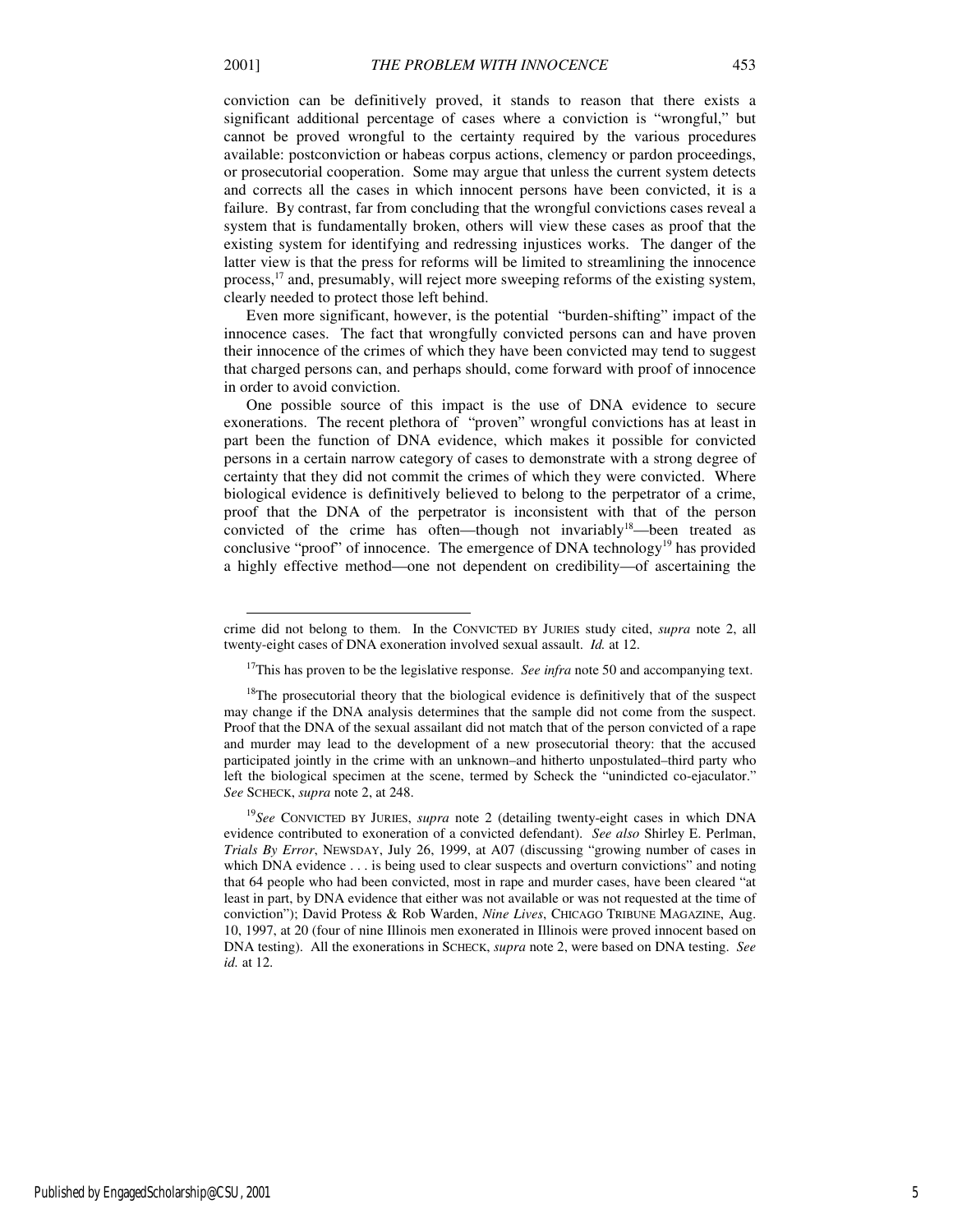-

conviction can be definitively proved, it stands to reason that there exists a significant additional percentage of cases where a conviction is "wrongful," but cannot be proved wrongful to the certainty required by the various procedures available: postconviction or habeas corpus actions, clemency or pardon proceedings, or prosecutorial cooperation. Some may argue that unless the current system detects and corrects all the cases in which innocent persons have been convicted, it is a failure. By contrast, far from concluding that the wrongful convictions cases reveal a system that is fundamentally broken, others will view these cases as proof that the existing system for identifying and redressing injustices works. The danger of the latter view is that the press for reforms will be limited to streamlining the innocence process,<sup>17</sup> and, presumably, will reject more sweeping reforms of the existing system, clearly needed to protect those left behind.

Even more significant, however, is the potential "burden-shifting" impact of the innocence cases. The fact that wrongfully convicted persons can and have proven their innocence of the crimes of which they have been convicted may tend to suggest that charged persons can, and perhaps should, come forward with proof of innocence in order to avoid conviction.

One possible source of this impact is the use of DNA evidence to secure exonerations. The recent plethora of "proven" wrongful convictions has at least in part been the function of DNA evidence, which makes it possible for convicted persons in a certain narrow category of cases to demonstrate with a strong degree of certainty that they did not commit the crimes of which they were convicted. Where biological evidence is definitively believed to belong to the perpetrator of a crime, proof that the DNA of the perpetrator is inconsistent with that of the person convicted of the crime has often—though not invariably<sup>18</sup>—been treated as conclusive "proof" of innocence. The emergence of DNA technology<sup>19</sup> has provided a highly effective method—one not dependent on credibility—of ascertaining the

crime did not belong to them. In the CONVICTED BY JURIES study cited, *supra* note 2, all twenty-eight cases of DNA exoneration involved sexual assault. *Id.* at 12.

<sup>&</sup>lt;sup>17</sup>This has proven to be the legislative response. *See infra* note 50 and accompanying text.

<sup>&</sup>lt;sup>18</sup>The prosecutorial theory that the biological evidence is definitively that of the suspect may change if the DNA analysis determines that the sample did not come from the suspect. Proof that the DNA of the sexual assailant did not match that of the person convicted of a rape and murder may lead to the development of a new prosecutorial theory: that the accused participated jointly in the crime with an unknown–and hitherto unpostulated–third party who left the biological specimen at the scene, termed by Scheck the "unindicted co-ejaculator." *See* SCHECK, *supra* note 2, at 248.

<sup>19</sup>*See* CONVICTED BY JURIES, *supra* note 2 (detailing twenty-eight cases in which DNA evidence contributed to exoneration of a convicted defendant). *See also* Shirley E. Perlman, *Trials By Error*, NEWSDAY, July 26, 1999, at A07 (discussing "growing number of cases in which DNA evidence . . . is being used to clear suspects and overturn convictions" and noting that 64 people who had been convicted, most in rape and murder cases, have been cleared "at least in part, by DNA evidence that either was not available or was not requested at the time of conviction"); David Protess & Rob Warden, *Nine Lives*, CHICAGO TRIBUNE MAGAZINE, Aug. 10, 1997, at 20 (four of nine Illinois men exonerated in Illinois were proved innocent based on DNA testing). All the exonerations in SCHECK, *supra* note 2, were based on DNA testing. *See id.* at 12.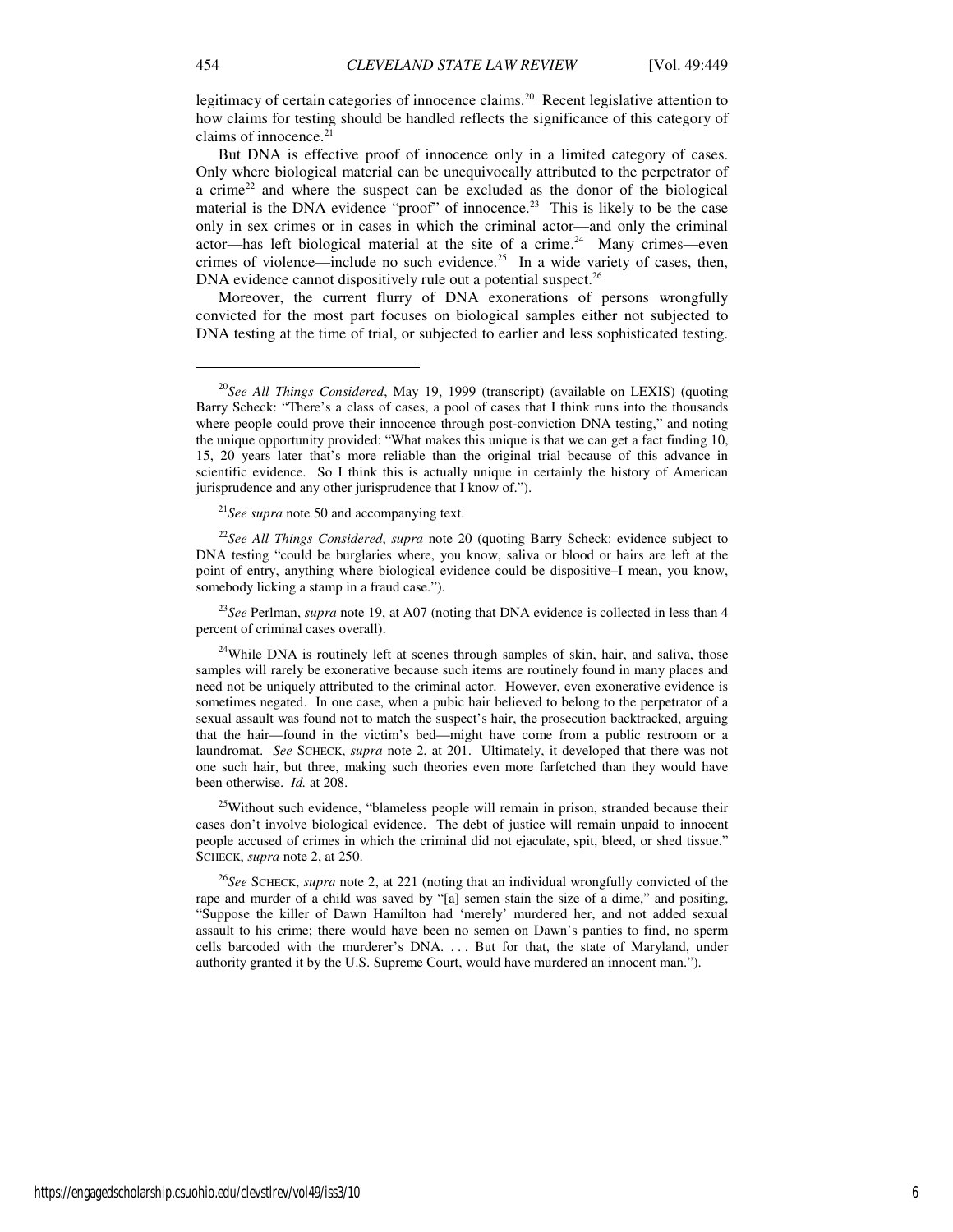legitimacy of certain categories of innocence claims.<sup>20</sup> Recent legislative attention to how claims for testing should be handled reflects the significance of this category of claims of innocence.<sup>21</sup>

But DNA is effective proof of innocence only in a limited category of cases. Only where biological material can be unequivocally attributed to the perpetrator of a crime<sup>22</sup> and where the suspect can be excluded as the donor of the biological material is the DNA evidence "proof" of innocence.<sup>23</sup> This is likely to be the case only in sex crimes or in cases in which the criminal actor—and only the criminal actor—has left biological material at the site of a crime.<sup>24</sup> Many crimes—even crimes of violence—include no such evidence.<sup>25</sup> In a wide variety of cases, then, DNA evidence cannot dispositively rule out a potential suspect. $26$ 

Moreover, the current flurry of DNA exonerations of persons wrongfully convicted for the most part focuses on biological samples either not subjected to DNA testing at the time of trial, or subjected to earlier and less sophisticated testing.

<sup>21</sup>*See supra* note 50 and accompanying text.

<sup>22</sup>*See All Things Considered*, *supra* note 20 (quoting Barry Scheck: evidence subject to DNA testing "could be burglaries where, you know, saliva or blood or hairs are left at the point of entry, anything where biological evidence could be dispositive–I mean, you know, somebody licking a stamp in a fraud case.").

<sup>23</sup>See Perlman, *supra* note 19, at A07 (noting that DNA evidence is collected in less than 4 percent of criminal cases overall).

<sup>24</sup>While DNA is routinely left at scenes through samples of skin, hair, and saliva, those samples will rarely be exonerative because such items are routinely found in many places and need not be uniquely attributed to the criminal actor. However, even exonerative evidence is sometimes negated. In one case, when a pubic hair believed to belong to the perpetrator of a sexual assault was found not to match the suspect's hair, the prosecution backtracked, arguing that the hair—found in the victim's bed—might have come from a public restroom or a laundromat. *See* SCHECK, *supra* note 2, at 201. Ultimately, it developed that there was not one such hair, but three, making such theories even more farfetched than they would have been otherwise. *Id.* at 208.

<sup>25</sup>Without such evidence, "blameless people will remain in prison, stranded because their cases don't involve biological evidence. The debt of justice will remain unpaid to innocent people accused of crimes in which the criminal did not ejaculate, spit, bleed, or shed tissue." SCHECK, *supra* note 2, at 250.

<sup>26</sup>*See* SCHECK, *supra* note 2, at 221 (noting that an individual wrongfully convicted of the rape and murder of a child was saved by "[a] semen stain the size of a dime," and positing, "Suppose the killer of Dawn Hamilton had 'merely' murdered her, and not added sexual assault to his crime; there would have been no semen on Dawn's panties to find, no sperm cells barcoded with the murderer's DNA. . . . But for that, the state of Maryland, under authority granted it by the U.S. Supreme Court, would have murdered an innocent man.").

<sup>20</sup>*See All Things Considered*, May 19, 1999 (transcript) (available on LEXIS) (quoting Barry Scheck: "There's a class of cases, a pool of cases that I think runs into the thousands where people could prove their innocence through post-conviction DNA testing," and noting the unique opportunity provided: "What makes this unique is that we can get a fact finding 10, 15, 20 years later that's more reliable than the original trial because of this advance in scientific evidence. So I think this is actually unique in certainly the history of American jurisprudence and any other jurisprudence that I know of.").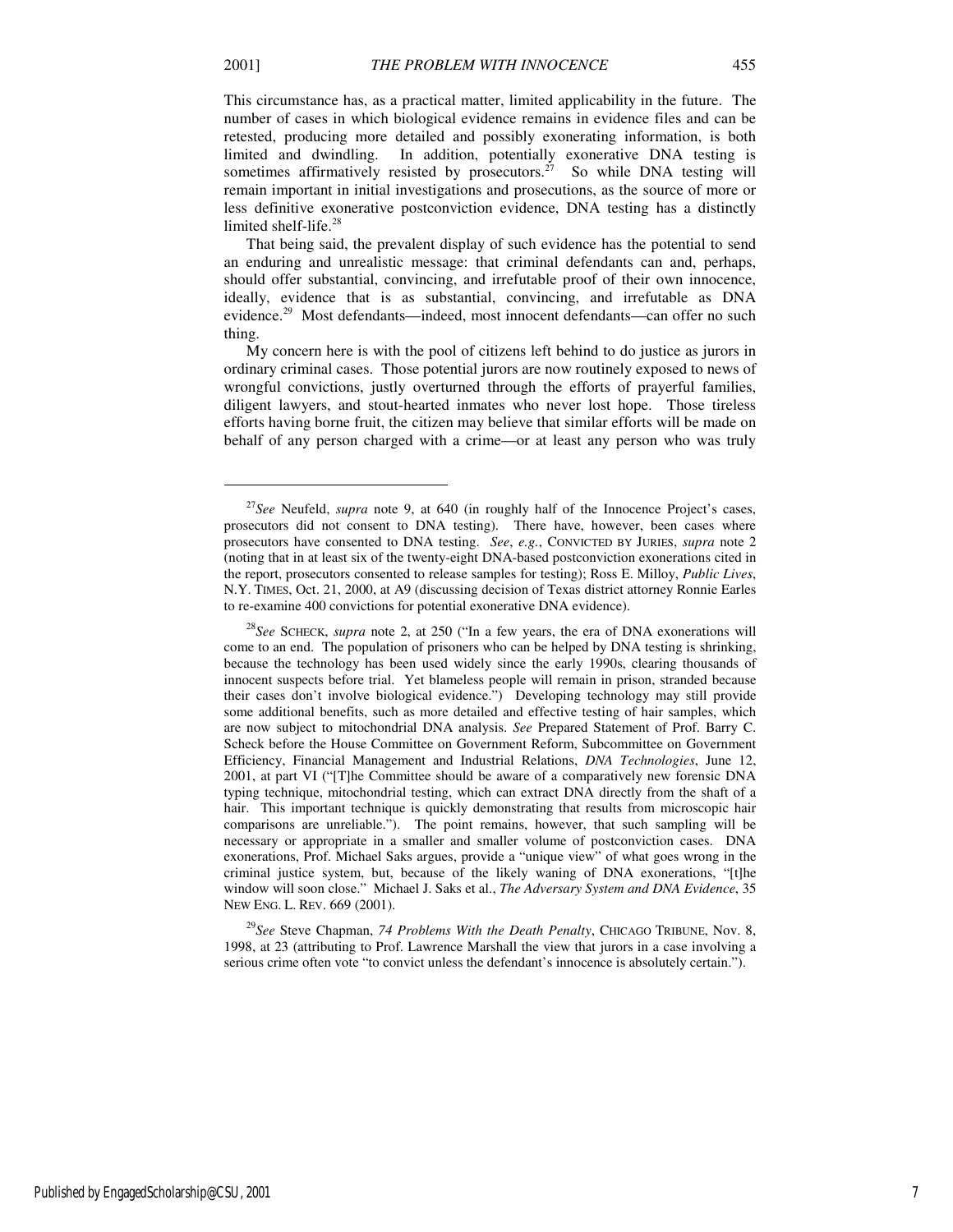$\overline{a}$ 

This circumstance has, as a practical matter, limited applicability in the future. The number of cases in which biological evidence remains in evidence files and can be retested, producing more detailed and possibly exonerating information, is both limited and dwindling. In addition, potentially exonerative DNA testing is sometimes affirmatively resisted by prosecutors.<sup>27</sup> So while DNA testing will remain important in initial investigations and prosecutions, as the source of more or less definitive exonerative postconviction evidence, DNA testing has a distinctly limited shelf-life.<sup>28</sup>

That being said, the prevalent display of such evidence has the potential to send an enduring and unrealistic message: that criminal defendants can and, perhaps, should offer substantial, convincing, and irrefutable proof of their own innocence, ideally, evidence that is as substantial, convincing, and irrefutable as DNA evidence.<sup>29</sup> Most defendants—indeed, most innocent defendants—can offer no such thing.

My concern here is with the pool of citizens left behind to do justice as jurors in ordinary criminal cases. Those potential jurors are now routinely exposed to news of wrongful convictions, justly overturned through the efforts of prayerful families, diligent lawyers, and stout-hearted inmates who never lost hope. Those tireless efforts having borne fruit, the citizen may believe that similar efforts will be made on behalf of any person charged with a crime—or at least any person who was truly

<sup>29</sup>*See* Steve Chapman, *74 Problems With the Death Penalty*, CHICAGO TRIBUNE, Nov. 8, 1998, at 23 (attributing to Prof. Lawrence Marshall the view that jurors in a case involving a serious crime often vote "to convict unless the defendant's innocence is absolutely certain.").

<sup>27</sup>*See* Neufeld, *supra* note 9, at 640 (in roughly half of the Innocence Project's cases, prosecutors did not consent to DNA testing). There have, however, been cases where prosecutors have consented to DNA testing. *See*, *e.g.*, CONVICTED BY JURIES, *supra* note 2 (noting that in at least six of the twenty-eight DNA-based postconviction exonerations cited in the report, prosecutors consented to release samples for testing); Ross E. Milloy, *Public Lives*, N.Y. TIMES, Oct. 21, 2000, at A9 (discussing decision of Texas district attorney Ronnie Earles to re-examine 400 convictions for potential exonerative DNA evidence).

<sup>28</sup>*See* SCHECK, *supra* note 2, at 250 ("In a few years, the era of DNA exonerations will come to an end. The population of prisoners who can be helped by DNA testing is shrinking, because the technology has been used widely since the early 1990s, clearing thousands of innocent suspects before trial. Yet blameless people will remain in prison, stranded because their cases don't involve biological evidence.") Developing technology may still provide some additional benefits, such as more detailed and effective testing of hair samples, which are now subject to mitochondrial DNA analysis. *See* Prepared Statement of Prof. Barry C. Scheck before the House Committee on Government Reform, Subcommittee on Government Efficiency, Financial Management and Industrial Relations, *DNA Technologies*, June 12, 2001, at part VI ("[T]he Committee should be aware of a comparatively new forensic DNA typing technique, mitochondrial testing, which can extract DNA directly from the shaft of a hair. This important technique is quickly demonstrating that results from microscopic hair comparisons are unreliable."). The point remains, however, that such sampling will be necessary or appropriate in a smaller and smaller volume of postconviction cases. DNA exonerations, Prof. Michael Saks argues, provide a "unique view" of what goes wrong in the criminal justice system, but, because of the likely waning of DNA exonerations, "[t]he window will soon close." Michael J. Saks et al., *The Adversary System and DNA Evidence*, 35 NEW ENG. L. REV. 669 (2001).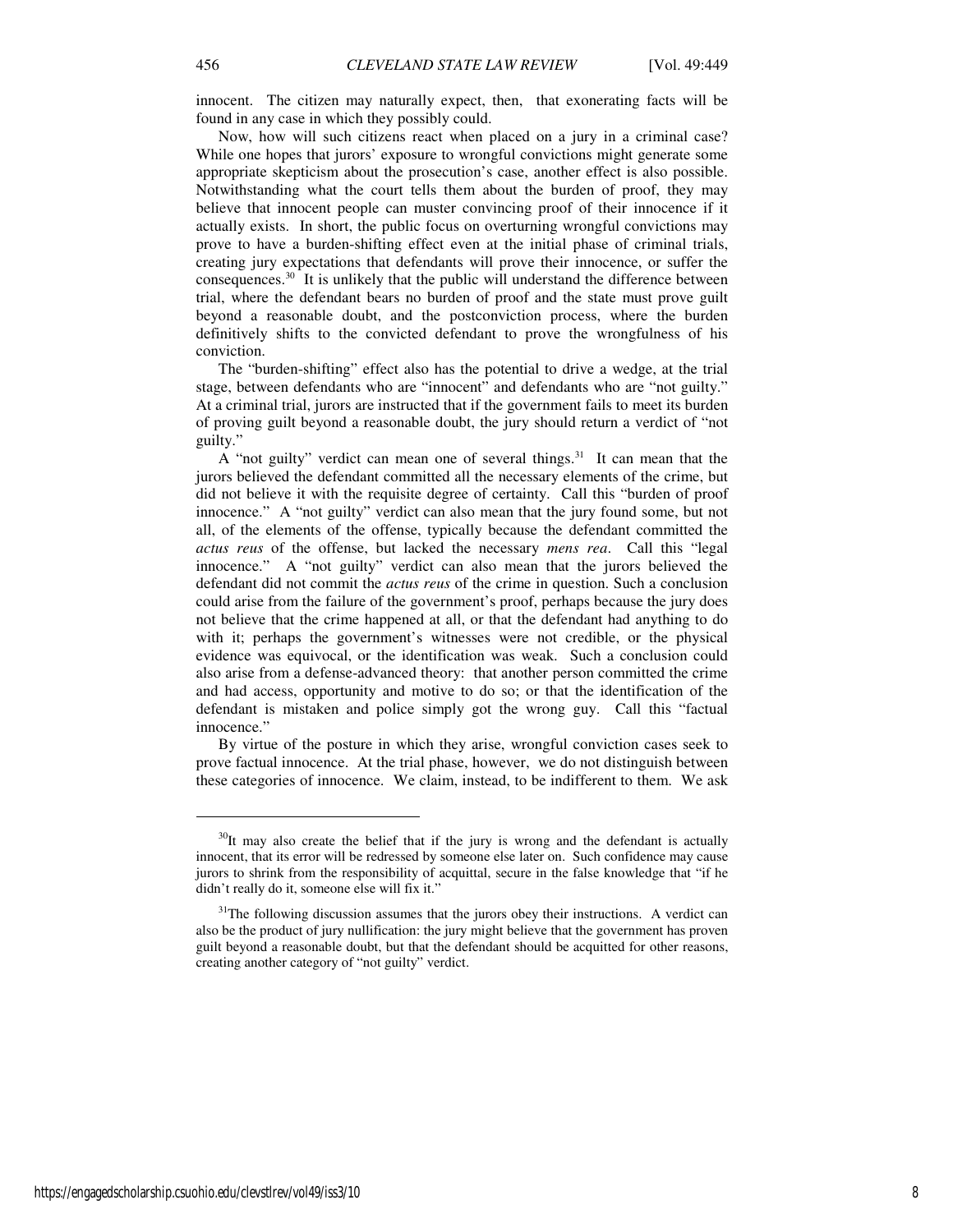innocent. The citizen may naturally expect, then, that exonerating facts will be found in any case in which they possibly could.

Now, how will such citizens react when placed on a jury in a criminal case? While one hopes that jurors' exposure to wrongful convictions might generate some appropriate skepticism about the prosecution's case, another effect is also possible. Notwithstanding what the court tells them about the burden of proof, they may believe that innocent people can muster convincing proof of their innocence if it actually exists. In short, the public focus on overturning wrongful convictions may prove to have a burden-shifting effect even at the initial phase of criminal trials, creating jury expectations that defendants will prove their innocence, or suffer the consequences.<sup>30</sup> It is unlikely that the public will understand the difference between trial, where the defendant bears no burden of proof and the state must prove guilt beyond a reasonable doubt, and the postconviction process, where the burden definitively shifts to the convicted defendant to prove the wrongfulness of his conviction.

The "burden-shifting" effect also has the potential to drive a wedge, at the trial stage, between defendants who are "innocent" and defendants who are "not guilty." At a criminal trial, jurors are instructed that if the government fails to meet its burden of proving guilt beyond a reasonable doubt, the jury should return a verdict of "not guilty."

A "not guilty" verdict can mean one of several things.<sup>31</sup> It can mean that the jurors believed the defendant committed all the necessary elements of the crime, but did not believe it with the requisite degree of certainty. Call this "burden of proof innocence." A "not guilty" verdict can also mean that the jury found some, but not all, of the elements of the offense, typically because the defendant committed the *actus reus* of the offense, but lacked the necessary *mens rea*. Call this "legal innocence." A "not guilty" verdict can also mean that the jurors believed the defendant did not commit the *actus reus* of the crime in question. Such a conclusion could arise from the failure of the government's proof, perhaps because the jury does not believe that the crime happened at all, or that the defendant had anything to do with it; perhaps the government's witnesses were not credible, or the physical evidence was equivocal, or the identification was weak. Such a conclusion could also arise from a defense-advanced theory: that another person committed the crime and had access, opportunity and motive to do so; or that the identification of the defendant is mistaken and police simply got the wrong guy. Call this "factual innocence."

By virtue of the posture in which they arise, wrongful conviction cases seek to prove factual innocence. At the trial phase, however, we do not distinguish between these categories of innocence. We claim, instead, to be indifferent to them. We ask

 $\overline{a}$ 

 $30$ It may also create the belief that if the jury is wrong and the defendant is actually innocent, that its error will be redressed by someone else later on. Such confidence may cause jurors to shrink from the responsibility of acquittal, secure in the false knowledge that "if he didn't really do it, someone else will fix it."

<sup>&</sup>lt;sup>31</sup>The following discussion assumes that the jurors obey their instructions. A verdict can also be the product of jury nullification: the jury might believe that the government has proven guilt beyond a reasonable doubt, but that the defendant should be acquitted for other reasons, creating another category of "not guilty" verdict.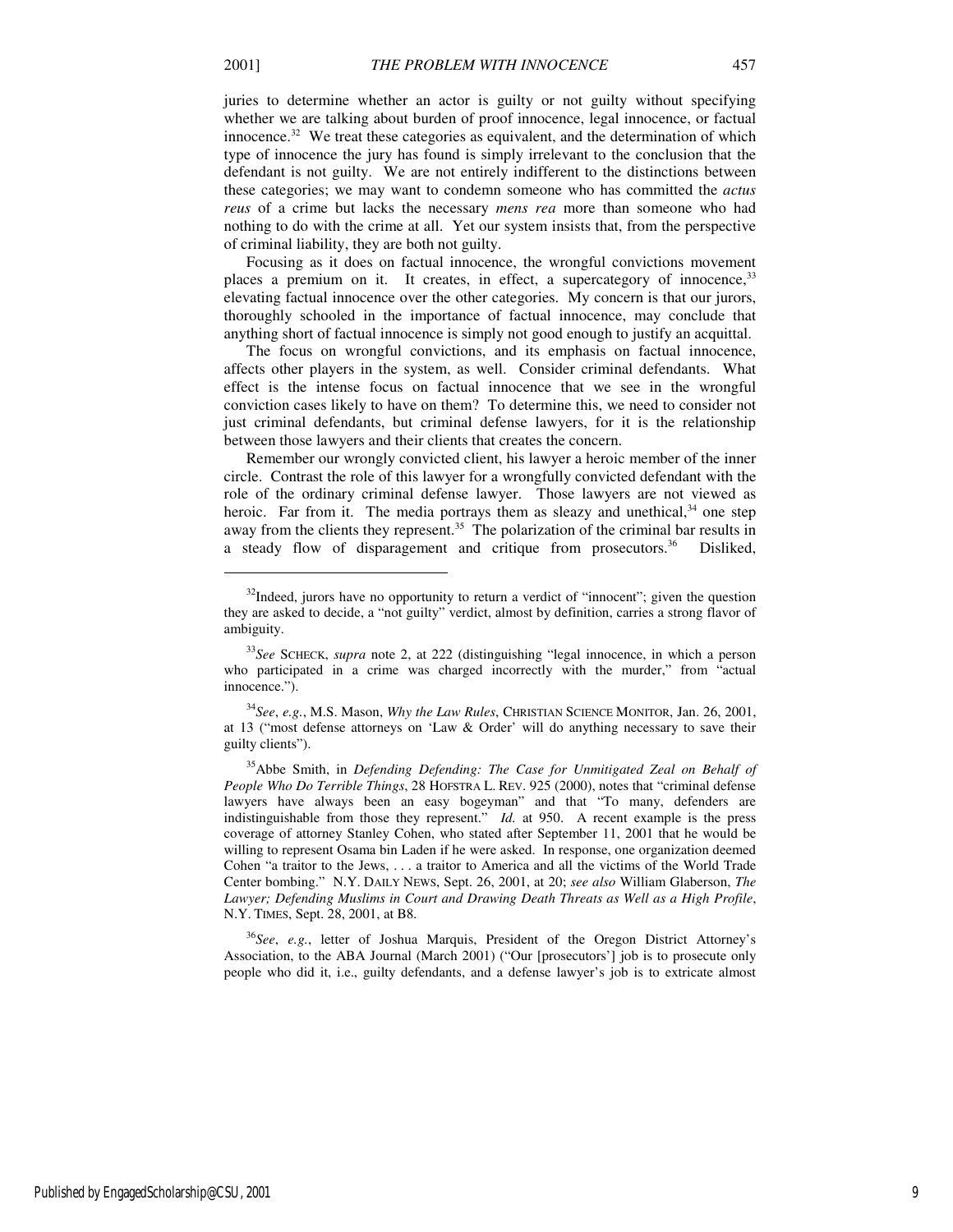j

juries to determine whether an actor is guilty or not guilty without specifying whether we are talking about burden of proof innocence, legal innocence, or factual innocence.<sup>32</sup> We treat these categories as equivalent, and the determination of which type of innocence the jury has found is simply irrelevant to the conclusion that the defendant is not guilty. We are not entirely indifferent to the distinctions between these categories; we may want to condemn someone who has committed the *actus reus* of a crime but lacks the necessary *mens rea* more than someone who had nothing to do with the crime at all. Yet our system insists that, from the perspective of criminal liability, they are both not guilty.

Focusing as it does on factual innocence, the wrongful convictions movement places a premium on it. It creates, in effect, a supercategory of innocence,<sup>33</sup> elevating factual innocence over the other categories. My concern is that our jurors, thoroughly schooled in the importance of factual innocence, may conclude that anything short of factual innocence is simply not good enough to justify an acquittal.

The focus on wrongful convictions, and its emphasis on factual innocence, affects other players in the system, as well. Consider criminal defendants. What effect is the intense focus on factual innocence that we see in the wrongful conviction cases likely to have on them? To determine this, we need to consider not just criminal defendants, but criminal defense lawyers, for it is the relationship between those lawyers and their clients that creates the concern.

Remember our wrongly convicted client, his lawyer a heroic member of the inner circle. Contrast the role of this lawyer for a wrongfully convicted defendant with the role of the ordinary criminal defense lawyer. Those lawyers are not viewed as heroic. Far from it. The media portrays them as sleazy and unethical,  $34$  one step away from the clients they represent.<sup>35</sup> The polarization of the criminal bar results in a steady flow of disparagement and critique from prosecutors.<sup>36</sup> Disliked,

<sup>34</sup>*See*, *e.g.*, M.S. Mason, *Why the Law Rules*, CHRISTIAN SCIENCE MONITOR, Jan. 26, 2001, at 13 ("most defense attorneys on 'Law & Order' will do anything necessary to save their guilty clients").

 $32$ Indeed, jurors have no opportunity to return a verdict of "innocent"; given the question they are asked to decide, a "not guilty" verdict, almost by definition, carries a strong flavor of ambiguity.

<sup>33</sup>*See* SCHECK, *supra* note 2, at 222 (distinguishing "legal innocence, in which a person who participated in a crime was charged incorrectly with the murder," from "actual innocence.").

<sup>35</sup>Abbe Smith, in *Defending Defending: The Case for Unmitigated Zeal on Behalf of People Who Do Terrible Things*, 28 HOFSTRA L. REV. 925 (2000), notes that "criminal defense lawyers have always been an easy bogeyman" and that "To many, defenders are indistinguishable from those they represent." *Id.* at 950. A recent example is the press coverage of attorney Stanley Cohen, who stated after September 11, 2001 that he would be willing to represent Osama bin Laden if he were asked. In response, one organization deemed Cohen "a traitor to the Jews, . . . a traitor to America and all the victims of the World Trade Center bombing." N.Y. DAILY NEWS, Sept. 26, 2001, at 20; *see also* William Glaberson, *The Lawyer; Defending Muslims in Court and Drawing Death Threats as Well as a High Profile*, N.Y. TIMES, Sept. 28, 2001, at B8.

<sup>36</sup>*See*, *e.g.*, letter of Joshua Marquis, President of the Oregon District Attorney's Association, to the ABA Journal (March 2001) ("Our [prosecutors'] job is to prosecute only people who did it, i.e., guilty defendants, and a defense lawyer's job is to extricate almost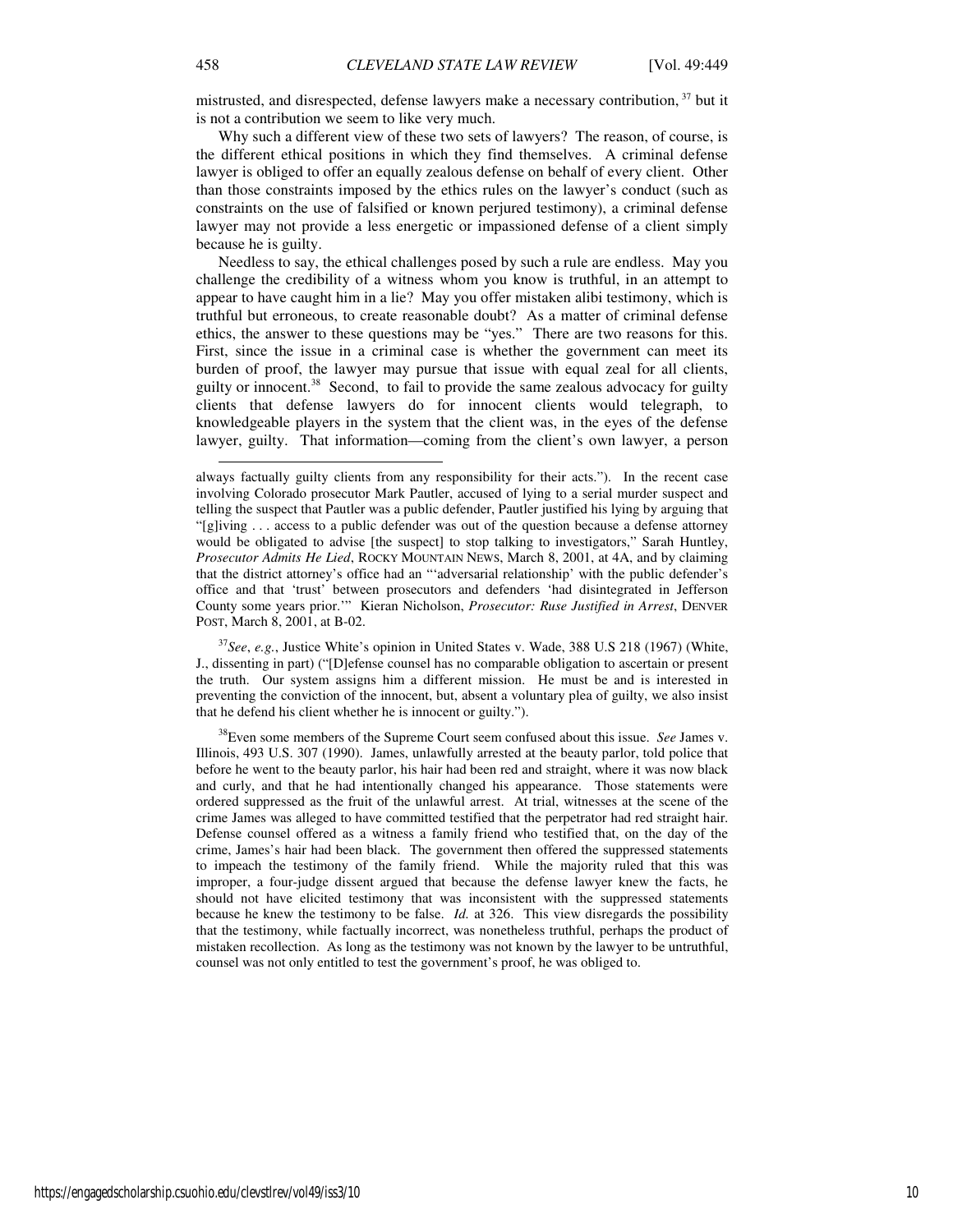mistrusted, and disrespected, defense lawyers make a necessary contribution, <sup>37</sup> but it is not a contribution we seem to like very much.

Why such a different view of these two sets of lawyers? The reason, of course, is the different ethical positions in which they find themselves. A criminal defense lawyer is obliged to offer an equally zealous defense on behalf of every client. Other than those constraints imposed by the ethics rules on the lawyer's conduct (such as constraints on the use of falsified or known perjured testimony), a criminal defense lawyer may not provide a less energetic or impassioned defense of a client simply because he is guilty.

Needless to say, the ethical challenges posed by such a rule are endless. May you challenge the credibility of a witness whom you know is truthful, in an attempt to appear to have caught him in a lie? May you offer mistaken alibi testimony, which is truthful but erroneous, to create reasonable doubt? As a matter of criminal defense ethics, the answer to these questions may be "yes." There are two reasons for this. First, since the issue in a criminal case is whether the government can meet its burden of proof, the lawyer may pursue that issue with equal zeal for all clients, guilty or innocent.<sup>38</sup> Second, to fail to provide the same zealous advocacy for guilty clients that defense lawyers do for innocent clients would telegraph, to knowledgeable players in the system that the client was, in the eyes of the defense lawyer, guilty. That information—coming from the client's own lawyer, a person

<sup>37</sup>*See*, *e.g.*, Justice White's opinion in United States v. Wade, 388 U.S 218 (1967) (White, J., dissenting in part) ("[D]efense counsel has no comparable obligation to ascertain or present the truth. Our system assigns him a different mission. He must be and is interested in preventing the conviction of the innocent, but, absent a voluntary plea of guilty, we also insist that he defend his client whether he is innocent or guilty.").

<sup>38</sup>Even some members of the Supreme Court seem confused about this issue. *See* James v. Illinois, 493 U.S. 307 (1990). James, unlawfully arrested at the beauty parlor, told police that before he went to the beauty parlor, his hair had been red and straight, where it was now black and curly, and that he had intentionally changed his appearance. Those statements were ordered suppressed as the fruit of the unlawful arrest. At trial, witnesses at the scene of the crime James was alleged to have committed testified that the perpetrator had red straight hair. Defense counsel offered as a witness a family friend who testified that, on the day of the crime, James's hair had been black. The government then offered the suppressed statements to impeach the testimony of the family friend. While the majority ruled that this was improper, a four-judge dissent argued that because the defense lawyer knew the facts, he should not have elicited testimony that was inconsistent with the suppressed statements because he knew the testimony to be false. *Id.* at 326. This view disregards the possibility that the testimony, while factually incorrect, was nonetheless truthful, perhaps the product of mistaken recollection. As long as the testimony was not known by the lawyer to be untruthful, counsel was not only entitled to test the government's proof, he was obliged to.

always factually guilty clients from any responsibility for their acts."). In the recent case involving Colorado prosecutor Mark Pautler, accused of lying to a serial murder suspect and telling the suspect that Pautler was a public defender, Pautler justified his lying by arguing that "[g]iving . . . access to a public defender was out of the question because a defense attorney would be obligated to advise [the suspect] to stop talking to investigators," Sarah Huntley, *Prosecutor Admits He Lied*, ROCKY MOUNTAIN NEWS, March 8, 2001, at 4A, and by claiming that the district attorney's office had an "'adversarial relationship' with the public defender's office and that 'trust' between prosecutors and defenders 'had disintegrated in Jefferson County some years prior.'" Kieran Nicholson, *Prosecutor: Ruse Justified in Arrest*, DENVER POST, March 8, 2001, at B-02.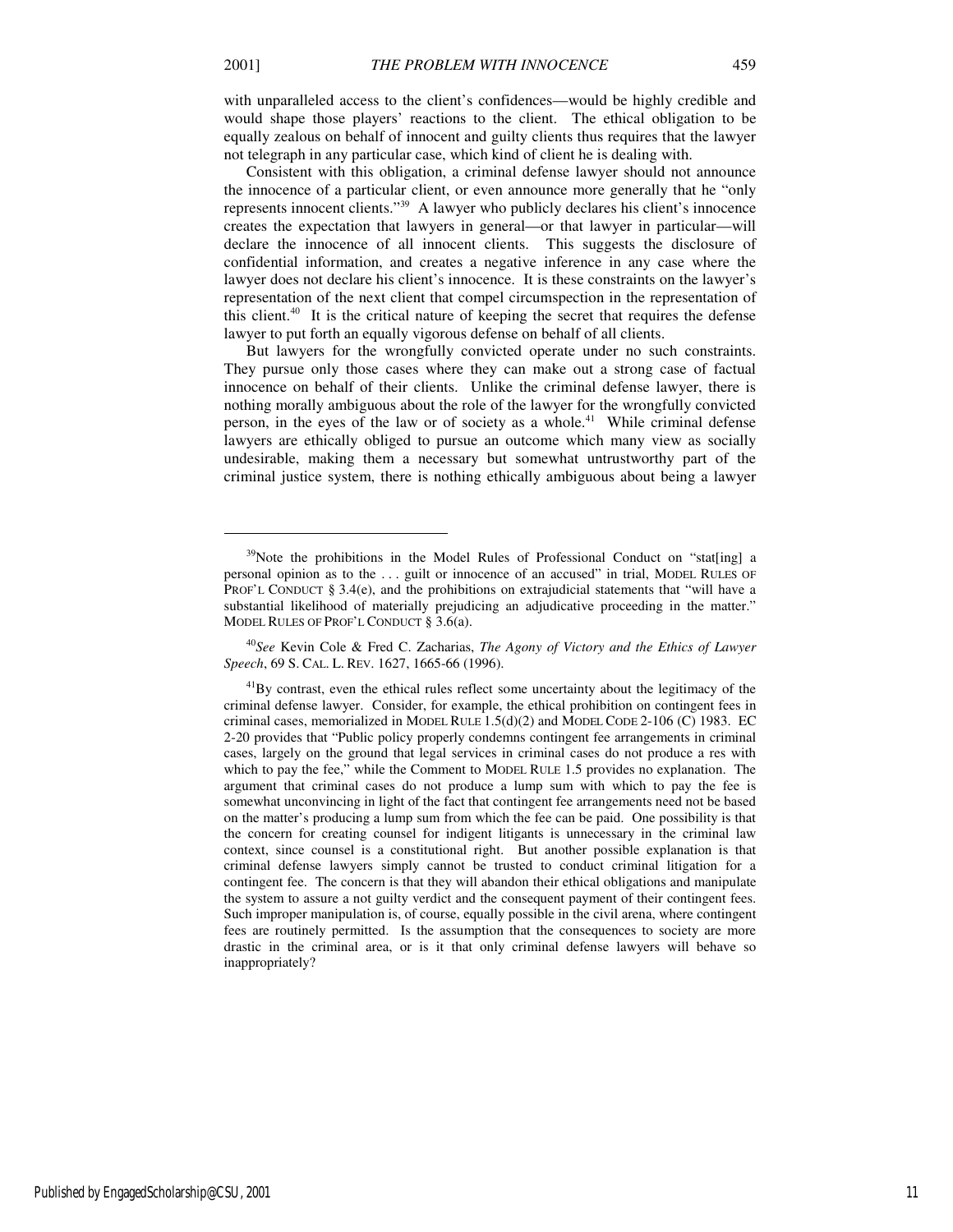with unparalleled access to the client's confidences—would be highly credible and would shape those players' reactions to the client. The ethical obligation to be equally zealous on behalf of innocent and guilty clients thus requires that the lawyer not telegraph in any particular case, which kind of client he is dealing with.

Consistent with this obligation, a criminal defense lawyer should not announce the innocence of a particular client, or even announce more generally that he "only represents innocent clients."<sup>39</sup> A lawyer who publicly declares his client's innocence creates the expectation that lawyers in general—or that lawyer in particular—will declare the innocence of all innocent clients. This suggests the disclosure of confidential information, and creates a negative inference in any case where the lawyer does not declare his client's innocence. It is these constraints on the lawyer's representation of the next client that compel circumspection in the representation of this client. $40$  It is the critical nature of keeping the secret that requires the defense lawyer to put forth an equally vigorous defense on behalf of all clients.

But lawyers for the wrongfully convicted operate under no such constraints. They pursue only those cases where they can make out a strong case of factual innocence on behalf of their clients. Unlike the criminal defense lawyer, there is nothing morally ambiguous about the role of the lawyer for the wrongfully convicted person, in the eyes of the law or of society as a whole.<sup>41</sup> While criminal defense lawyers are ethically obliged to pursue an outcome which many view as socially undesirable, making them a necessary but somewhat untrustworthy part of the criminal justice system, there is nothing ethically ambiguous about being a lawyer

<sup>40</sup>*See* Kevin Cole & Fred C. Zacharias, *The Agony of Victory and the Ethics of Lawyer Speech*, 69 S. CAL. L. REV. 1627, 1665-66 (1996).

 $39$ Note the prohibitions in the Model Rules of Professional Conduct on "stat[ing] a personal opinion as to the . . . guilt or innocence of an accused" in trial, MODEL RULES OF PROF'L CONDUCT § 3.4(e), and the prohibitions on extrajudicial statements that "will have a substantial likelihood of materially prejudicing an adjudicative proceeding in the matter." MODEL RULES OF PROF'L CONDUCT § 3.6(a).

<sup>&</sup>lt;sup>41</sup>By contrast, even the ethical rules reflect some uncertainty about the legitimacy of the criminal defense lawyer. Consider, for example, the ethical prohibition on contingent fees in criminal cases, memorialized in MODEL RULE  $1.5(d)(2)$  and MODEL CODE  $2-106$  (C) 1983. EC 2-20 provides that "Public policy properly condemns contingent fee arrangements in criminal cases, largely on the ground that legal services in criminal cases do not produce a res with which to pay the fee," while the Comment to MODEL RULE 1.5 provides no explanation. The argument that criminal cases do not produce a lump sum with which to pay the fee is somewhat unconvincing in light of the fact that contingent fee arrangements need not be based on the matter's producing a lump sum from which the fee can be paid. One possibility is that the concern for creating counsel for indigent litigants is unnecessary in the criminal law context, since counsel is a constitutional right. But another possible explanation is that criminal defense lawyers simply cannot be trusted to conduct criminal litigation for a contingent fee. The concern is that they will abandon their ethical obligations and manipulate the system to assure a not guilty verdict and the consequent payment of their contingent fees. Such improper manipulation is, of course, equally possible in the civil arena, where contingent fees are routinely permitted. Is the assumption that the consequences to society are more drastic in the criminal area, or is it that only criminal defense lawyers will behave so inappropriately?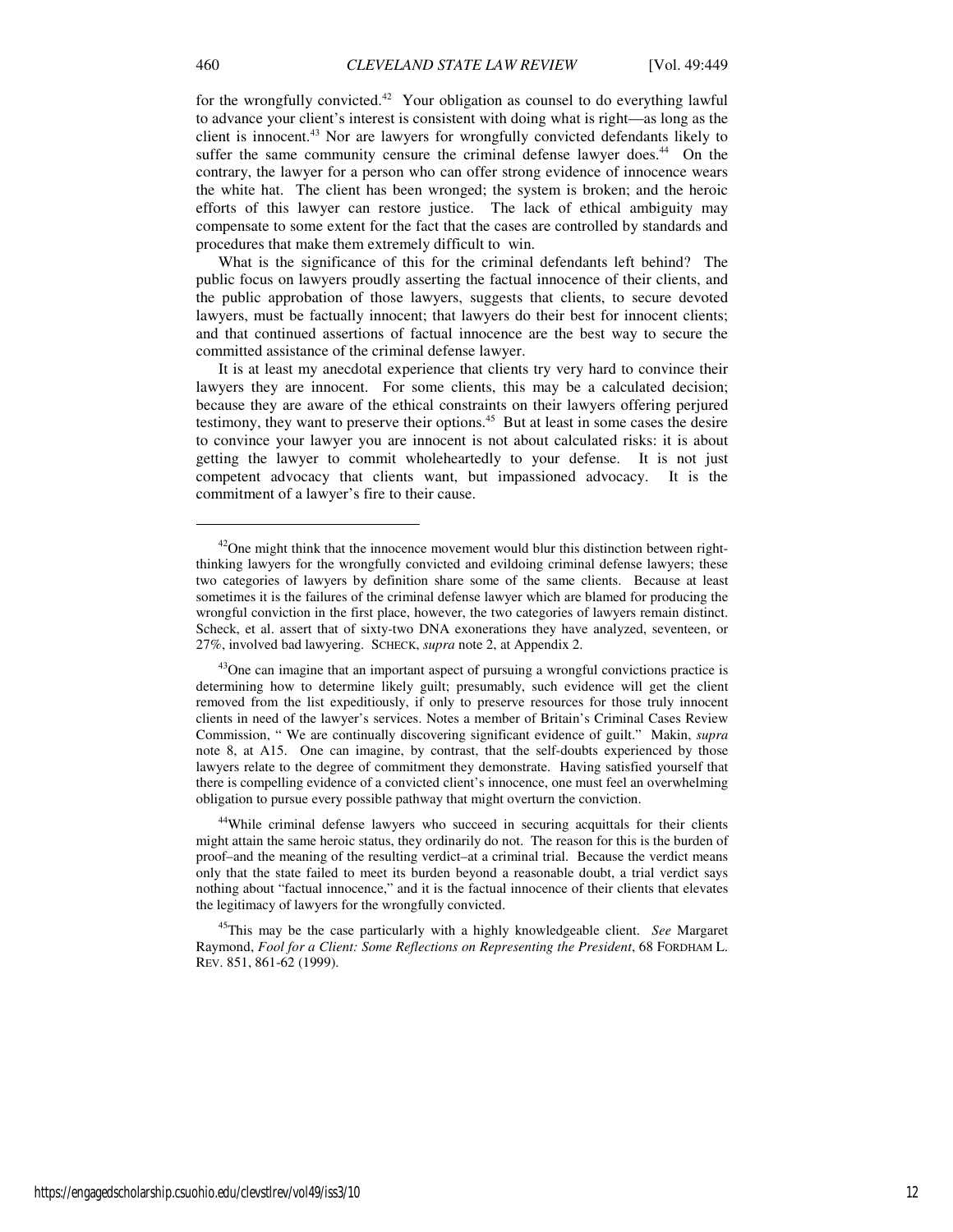for the wrongfully convicted.<sup>42</sup> Your obligation as counsel to do everything lawful to advance your client's interest is consistent with doing what is right—as long as the client is innocent.<sup>43</sup> Nor are lawyers for wrongfully convicted defendants likely to suffer the same community censure the criminal defense lawyer does.<sup>44</sup> On the contrary, the lawyer for a person who can offer strong evidence of innocence wears the white hat. The client has been wronged; the system is broken; and the heroic efforts of this lawyer can restore justice. The lack of ethical ambiguity may compensate to some extent for the fact that the cases are controlled by standards and procedures that make them extremely difficult to win.

What is the significance of this for the criminal defendants left behind? The public focus on lawyers proudly asserting the factual innocence of their clients, and the public approbation of those lawyers, suggests that clients, to secure devoted lawyers, must be factually innocent; that lawyers do their best for innocent clients; and that continued assertions of factual innocence are the best way to secure the committed assistance of the criminal defense lawyer.

It is at least my anecdotal experience that clients try very hard to convince their lawyers they are innocent. For some clients, this may be a calculated decision; because they are aware of the ethical constraints on their lawyers offering perjured testimony, they want to preserve their options.<sup>45</sup> But at least in some cases the desire to convince your lawyer you are innocent is not about calculated risks: it is about getting the lawyer to commit wholeheartedly to your defense. It is not just competent advocacy that clients want, but impassioned advocacy. It is the commitment of a lawyer's fire to their cause.

<sup>44</sup>While criminal defense lawyers who succeed in securing acquittals for their clients might attain the same heroic status, they ordinarily do not. The reason for this is the burden of proof–and the meaning of the resulting verdict–at a criminal trial. Because the verdict means only that the state failed to meet its burden beyond a reasonable doubt, a trial verdict says nothing about "factual innocence," and it is the factual innocence of their clients that elevates the legitimacy of lawyers for the wrongfully convicted.

<sup>45</sup>This may be the case particularly with a highly knowledgeable client. *See* Margaret Raymond, *Fool for a Client: Some Reflections on Representing the President*, 68 FORDHAM L. REV. 851, 861-62 (1999).

 $42$ One might think that the innocence movement would blur this distinction between rightthinking lawyers for the wrongfully convicted and evildoing criminal defense lawyers; these two categories of lawyers by definition share some of the same clients. Because at least sometimes it is the failures of the criminal defense lawyer which are blamed for producing the wrongful conviction in the first place, however, the two categories of lawyers remain distinct. Scheck, et al. assert that of sixty-two DNA exonerations they have analyzed, seventeen, or 27%, involved bad lawyering. SCHECK, *supra* note 2, at Appendix 2.

<sup>&</sup>lt;sup>43</sup>One can imagine that an important aspect of pursuing a wrongful convictions practice is determining how to determine likely guilt; presumably, such evidence will get the client removed from the list expeditiously, if only to preserve resources for those truly innocent clients in need of the lawyer's services. Notes a member of Britain's Criminal Cases Review Commission, " We are continually discovering significant evidence of guilt." Makin, *supra* note 8, at A15. One can imagine, by contrast, that the self-doubts experienced by those lawyers relate to the degree of commitment they demonstrate. Having satisfied yourself that there is compelling evidence of a convicted client's innocence, one must feel an overwhelming obligation to pursue every possible pathway that might overturn the conviction.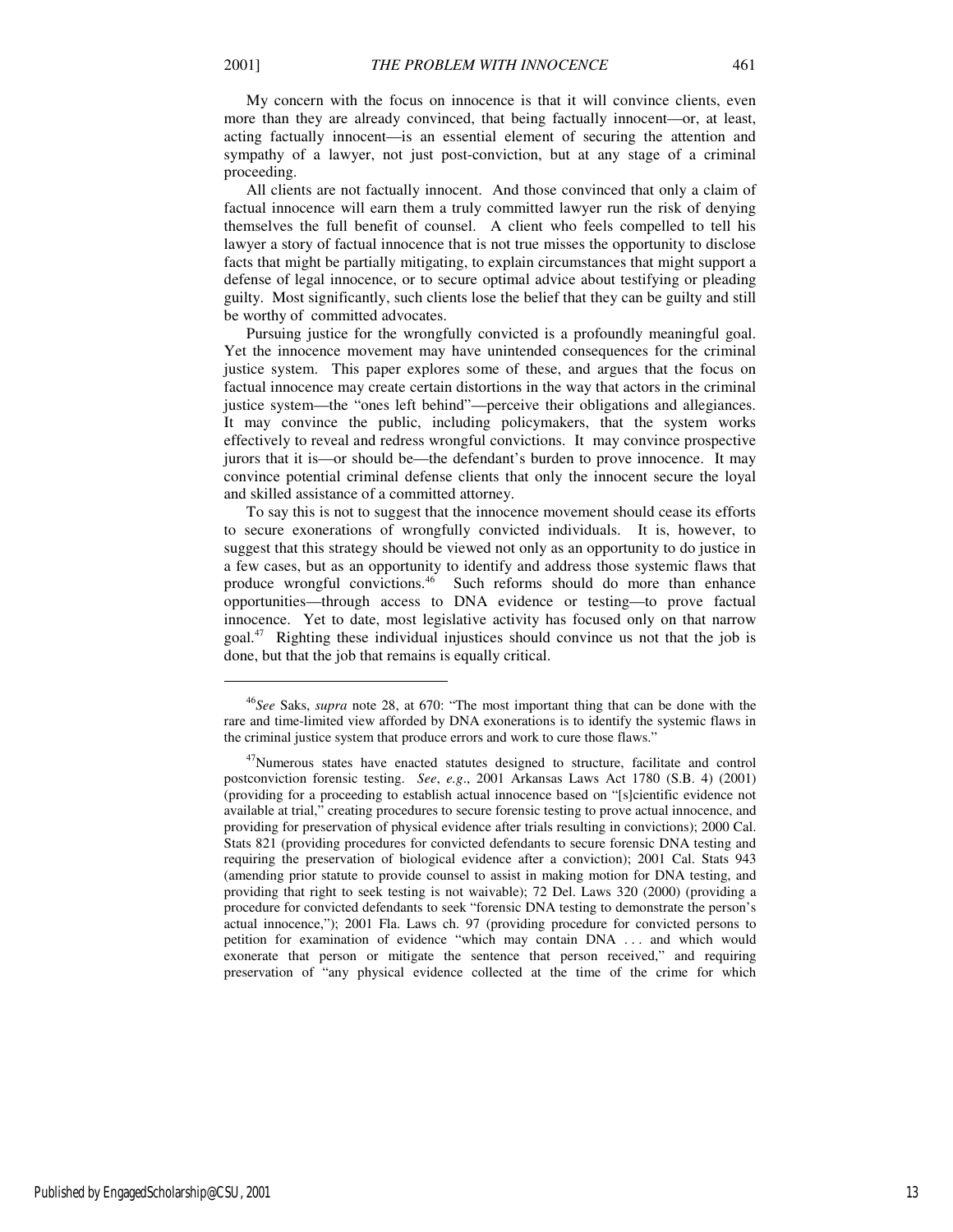My concern with the focus on innocence is that it will convince clients, even more than they are already convinced, that being factually innocent—or, at least, acting factually innocent—is an essential element of securing the attention and sympathy of a lawyer, not just post-conviction, but at any stage of a criminal proceeding.

All clients are not factually innocent. And those convinced that only a claim of factual innocence will earn them a truly committed lawyer run the risk of denying themselves the full benefit of counsel. A client who feels compelled to tell his lawyer a story of factual innocence that is not true misses the opportunity to disclose facts that might be partially mitigating, to explain circumstances that might support a defense of legal innocence, or to secure optimal advice about testifying or pleading guilty. Most significantly, such clients lose the belief that they can be guilty and still be worthy of committed advocates.

Pursuing justice for the wrongfully convicted is a profoundly meaningful goal. Yet the innocence movement may have unintended consequences for the criminal justice system. This paper explores some of these, and argues that the focus on factual innocence may create certain distortions in the way that actors in the criminal justice system—the "ones left behind"—perceive their obligations and allegiances. It may convince the public, including policymakers, that the system works effectively to reveal and redress wrongful convictions. It may convince prospective jurors that it is—or should be—the defendant's burden to prove innocence. It may convince potential criminal defense clients that only the innocent secure the loyal and skilled assistance of a committed attorney.

To say this is not to suggest that the innocence movement should cease its efforts to secure exonerations of wrongfully convicted individuals. It is, however, to suggest that this strategy should be viewed not only as an opportunity to do justice in a few cases, but as an opportunity to identify and address those systemic flaws that produce wrongful convictions.<sup>46</sup> Such reforms should do more than enhance opportunities—through access to DNA evidence or testing—to prove factual innocence. Yet to date, most legislative activity has focused only on that narrow goal.<sup>47</sup> Righting these individual injustices should convince us not that the job is done, but that the job that remains is equally critical.

 $\overline{a}$ 

<sup>46</sup>*See* Saks, *supra* note 28, at 670: "The most important thing that can be done with the rare and time-limited view afforded by DNA exonerations is to identify the systemic flaws in the criminal justice system that produce errors and work to cure those flaws."

<sup>&</sup>lt;sup>47</sup>Numerous states have enacted statutes designed to structure, facilitate and control postconviction forensic testing. *See*, *e.g*., 2001 Arkansas Laws Act 1780 (S.B. 4) (2001) (providing for a proceeding to establish actual innocence based on "[s]cientific evidence not available at trial," creating procedures to secure forensic testing to prove actual innocence, and providing for preservation of physical evidence after trials resulting in convictions); 2000 Cal. Stats 821 (providing procedures for convicted defendants to secure forensic DNA testing and requiring the preservation of biological evidence after a conviction); 2001 Cal. Stats 943 (amending prior statute to provide counsel to assist in making motion for DNA testing, and providing that right to seek testing is not waivable); 72 Del. Laws 320 (2000) (providing a procedure for convicted defendants to seek "forensic DNA testing to demonstrate the person's actual innocence,"); 2001 Fla. Laws ch. 97 (providing procedure for convicted persons to petition for examination of evidence "which may contain DNA . . . and which would exonerate that person or mitigate the sentence that person received," and requiring preservation of "any physical evidence collected at the time of the crime for which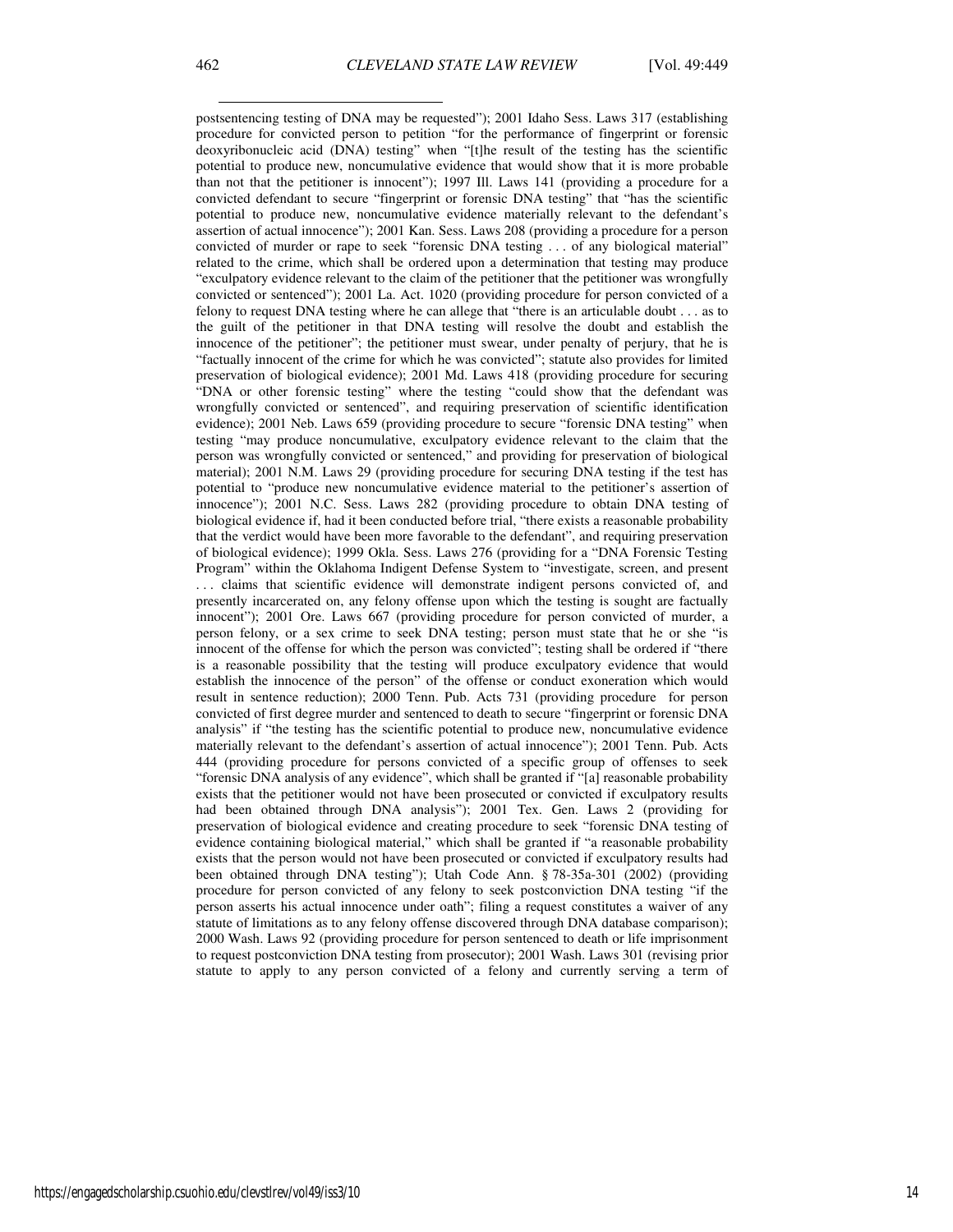postsentencing testing of DNA may be requested"); 2001 Idaho Sess. Laws 317 (establishing procedure for convicted person to petition "for the performance of fingerprint or forensic deoxyribonucleic acid (DNA) testing" when "[t]he result of the testing has the scientific potential to produce new, noncumulative evidence that would show that it is more probable than not that the petitioner is innocent"); 1997 Ill. Laws 141 (providing a procedure for a convicted defendant to secure "fingerprint or forensic DNA testing" that "has the scientific potential to produce new, noncumulative evidence materially relevant to the defendant's assertion of actual innocence"); 2001 Kan. Sess. Laws 208 (providing a procedure for a person convicted of murder or rape to seek "forensic DNA testing . . . of any biological material" related to the crime, which shall be ordered upon a determination that testing may produce "exculpatory evidence relevant to the claim of the petitioner that the petitioner was wrongfully convicted or sentenced"); 2001 La. Act. 1020 (providing procedure for person convicted of a felony to request DNA testing where he can allege that "there is an articulable doubt . . . as to the guilt of the petitioner in that DNA testing will resolve the doubt and establish the innocence of the petitioner"; the petitioner must swear, under penalty of perjury, that he is "factually innocent of the crime for which he was convicted"; statute also provides for limited preservation of biological evidence); 2001 Md. Laws 418 (providing procedure for securing "DNA or other forensic testing" where the testing "could show that the defendant was wrongfully convicted or sentenced", and requiring preservation of scientific identification evidence); 2001 Neb. Laws 659 (providing procedure to secure "forensic DNA testing" when testing "may produce noncumulative, exculpatory evidence relevant to the claim that the person was wrongfully convicted or sentenced," and providing for preservation of biological material); 2001 N.M. Laws 29 (providing procedure for securing DNA testing if the test has potential to "produce new noncumulative evidence material to the petitioner's assertion of innocence"); 2001 N.C. Sess. Laws 282 (providing procedure to obtain DNA testing of biological evidence if, had it been conducted before trial, "there exists a reasonable probability that the verdict would have been more favorable to the defendant", and requiring preservation of biological evidence); 1999 Okla. Sess. Laws 276 (providing for a "DNA Forensic Testing Program" within the Oklahoma Indigent Defense System to "investigate, screen, and present . . . claims that scientific evidence will demonstrate indigent persons convicted of, and presently incarcerated on, any felony offense upon which the testing is sought are factually innocent"); 2001 Ore. Laws 667 (providing procedure for person convicted of murder, a person felony, or a sex crime to seek DNA testing; person must state that he or she "is innocent of the offense for which the person was convicted"; testing shall be ordered if "there is a reasonable possibility that the testing will produce exculpatory evidence that would establish the innocence of the person" of the offense or conduct exoneration which would result in sentence reduction); 2000 Tenn. Pub. Acts 731 (providing procedure for person convicted of first degree murder and sentenced to death to secure "fingerprint or forensic DNA analysis" if "the testing has the scientific potential to produce new, noncumulative evidence materially relevant to the defendant's assertion of actual innocence"); 2001 Tenn. Pub. Acts 444 (providing procedure for persons convicted of a specific group of offenses to seek "forensic DNA analysis of any evidence", which shall be granted if "[a] reasonable probability exists that the petitioner would not have been prosecuted or convicted if exculpatory results had been obtained through DNA analysis"); 2001 Tex. Gen. Laws 2 (providing for preservation of biological evidence and creating procedure to seek "forensic DNA testing of evidence containing biological material," which shall be granted if "a reasonable probability exists that the person would not have been prosecuted or convicted if exculpatory results had been obtained through DNA testing"); Utah Code Ann. § 78-35a-301 (2002) (providing procedure for person convicted of any felony to seek postconviction DNA testing "if the person asserts his actual innocence under oath"; filing a request constitutes a waiver of any statute of limitations as to any felony offense discovered through DNA database comparison); 2000 Wash. Laws 92 (providing procedure for person sentenced to death or life imprisonment to request postconviction DNA testing from prosecutor); 2001 Wash. Laws 301 (revising prior statute to apply to any person convicted of a felony and currently serving a term of